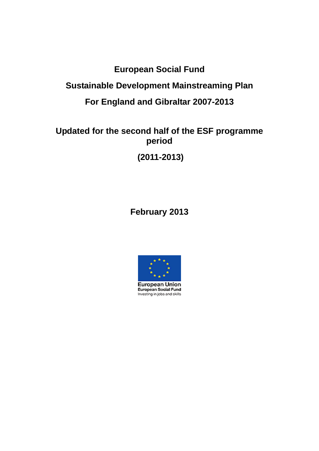## **European Social Fund**

## **Sustainable Development Mainstreaming Plan**

## **For England and Gibraltar 2007-2013**

### **Updated for the second half of the ESF programme period**

**(2011-2013)** 

## **February 2013**

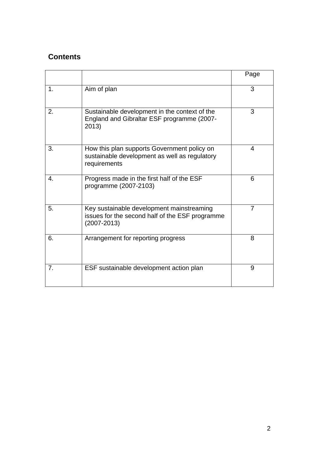#### **Contents**

|    |                                                                                                                 | Page           |
|----|-----------------------------------------------------------------------------------------------------------------|----------------|
| 1. | Aim of plan                                                                                                     | 3              |
| 2. | Sustainable development in the context of the<br>England and Gibraltar ESF programme (2007-<br>2013)            | 3              |
| 3. | How this plan supports Government policy on<br>sustainable development as well as regulatory<br>requirements    | 4              |
| 4. | Progress made in the first half of the ESF<br>programme (2007-2103)                                             | 6              |
| 5. | Key sustainable development mainstreaming<br>issues for the second half of the ESF programme<br>$(2007 - 2013)$ | $\overline{7}$ |
| 6. | Arrangement for reporting progress                                                                              | 8              |
| 7. | ESF sustainable development action plan                                                                         | 9              |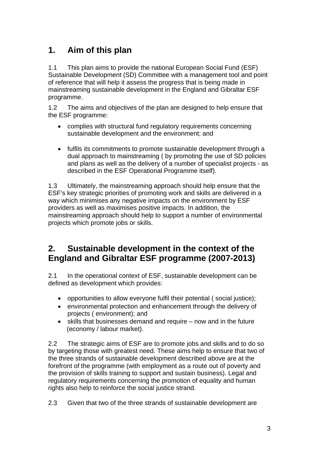# **1. Aim of this plan**

1.1 This plan aims to provide the national European Social Fund (ESF) Sustainable Development (SD) Committee with a management tool and point of reference that will help it assess the progress that is being made in mainstreaming sustainable development in the England and Gibraltar ESF programme.

1.2 The aims and objectives of the plan are designed to help ensure that the ESF programme:

- complies with structural fund regulatory requirements concerning sustainable development and the environment; and
- fulfils its commitments to promote sustainable development through a dual approach to mainstreaming ( by promoting the use of SD policies and plans as well as the delivery of a number of specialist projects - as described in the ESF Operational Programme itself).

1.3 Ultimately, the mainstreaming approach should help ensure that the ESF's key strategic priorities of promoting work and skills are delivered in a way which minimises any negative impacts on the environment by ESF providers as well as maximises positive impacts. In addition, the mainstreaming approach should help to support a number of environmental projects which promote jobs or skills.

#### **2. Sustainable development in the context of the England and Gibraltar ESF programme (2007-2013)**

2.1 In the operational context of ESF, sustainable development can be defined as development which provides:

- opportunities to allow everyone fulfil their potential ( social justice);
- environmental protection and enhancement through the delivery of projects ( environment); and
- skills that businesses demand and require now and in the future (economy / labour market).

2.2 The strategic aims of ESF are to promote jobs and skills and to do so by targeting those with greatest need. These aims help to ensure that two of the three strands of sustainable development described above are at the forefront of the programme (with employment as a route out of poverty and the provision of skills training to support and sustain business). Legal and regulatory requirements concerning the promotion of equality and human rights also help to reinforce the social justice strand.

2.3 Given that two of the three strands of sustainable development are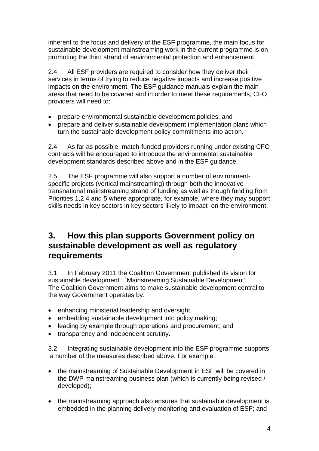inherent to the focus and delivery of the ESF programme, the main focus for sustainable development mainstreaming work in the current programme is on promoting the third strand of environmental protection and enhancement.

2.4 All ESF providers are required to consider how they deliver their services in terms of trying to reduce negative impacts and increase positive impacts on the environment. The ESF guidance manuals explain the main areas that need to be covered and in order to meet these requirements, CFO providers will need to:

- prepare environmental sustainable development policies; and
- prepare and deliver sustainable development implementation plans which turn the sustainable development policy commitments into action.

2.4 As far as possible, match-funded providers running under existing CFO contracts will be encouraged to introduce the environmental sustainable development standards described above and in the ESF guidance.

2.5 The ESF programme will also support a number of environmentspecific projects (vertical mainstreaming) through both the innovative transnational mainstreaming strand of funding as well as though funding from Priorities 1,2 4 and 5 where appropriate, for example, where they may support skills needs in key sectors in key sectors likely to impact on the environment.

#### **3. How this plan supports Government policy on sustainable development as well as regulatory requirements**

3.1 In February 2011 the Coalition Government published its vision for sustainable development : `Mainstreaming Sustainable Development'. The Coalition Government aims to make sustainable development central to the way Government operates by:

- enhancing ministerial leadership and oversight;
- embedding sustainable development into policy making;
- leading by example through operations and procurement; and
- transparency and independent scrutiny.

3.2 Integrating sustainable development into the ESF programme supports a number of the measures described above. For example:

- the mainstreaming of Sustainable Development in ESF will be covered in the DWP mainstreaming business plan (which is currently being revised / developed);
- the mainstreaming approach also ensures that sustainable development is embedded in the planning delivery monitoring and evaluation of ESF; and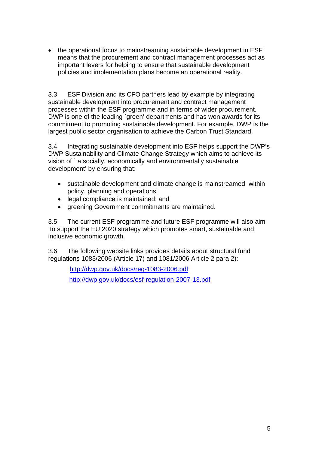• the operational focus to mainstreaming sustainable development in ESF means that the procurement and contract management processes act as important levers for helping to ensure that sustainable development policies and implementation plans become an operational reality.

3.3 ESF Division and its CFO partners lead by example by integrating sustainable development into procurement and contract management processes within the ESF programme and in terms of wider procurement. DWP is one of the leading `green' departments and has won awards for its commitment to promoting sustainable development. For example, DWP is the largest public sector organisation to achieve the Carbon Trust Standard.

3.4 Integrating sustainable development into ESF helps support the DWP's DWP Sustainability and Climate Change Strategy which aims to achieve its vision of ` a socially, economically and environmentally sustainable development' by ensuring that:

- sustainable development and climate change is mainstreamed within policy, planning and operations;
- legal compliance is maintained; and
- greening Government commitments are maintained.

3.5 The current ESF programme and future ESF programme will also aim to support the EU 2020 strategy which promotes smart, sustainable and inclusive economic growth.

3.6 The following website links provides details about structural fund regulations 1083/2006 (Article 17) and 1081/2006 Article 2 para 2):

> <http://dwp.gov.uk/docs/reg-1083-2006.pdf> <http://dwp.gov.uk/docs/esf-regulation-2007-13.pdf>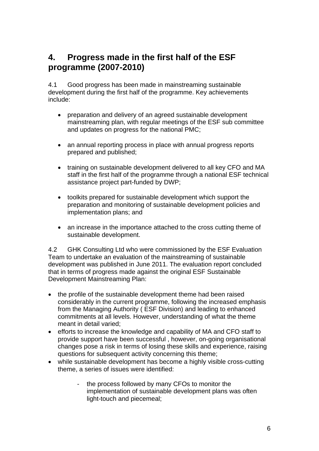## **4. Progress made in the first half of the ESF programme (2007-2010)**

4.1 Good progress has been made in mainstreaming sustainable development during the first half of the programme. Key achievements include:

- preparation and delivery of an agreed sustainable development mainstreaming plan, with regular meetings of the ESF sub committee and updates on progress for the national PMC;
- an annual reporting process in place with annual progress reports prepared and published;
- training on sustainable development delivered to all key CFO and MA staff in the first half of the programme through a national ESF technical assistance project part-funded by DWP;
- toolkits prepared for sustainable development which support the preparation and monitoring of sustainable development policies and implementation plans; and
- an increase in the importance attached to the cross cutting theme of sustainable development.

4.2 GHK Consulting Ltd who were commissioned by the ESF Evaluation Team to undertake an evaluation of the mainstreaming of sustainable development was published in June 2011. The evaluation report concluded that in terms of progress made against the original ESF Sustainable Development Mainstreaming Plan:

- the profile of the sustainable development theme had been raised considerably in the current programme, following the increased emphasis from the Managing Authority ( ESF Division) and leading to enhanced commitments at all levels. However, understanding of what the theme meant in detail varied;
- efforts to increase the knowledge and capability of MA and CFO staff to provide support have been successful , however, on-going organisational changes pose a risk in terms of losing these skills and experience, raising questions for subsequent activity concerning this theme;
- while sustainable development has become a highly visible cross-cutting theme, a series of issues were identified:
	- the process followed by many CFOs to monitor the implementation of sustainable development plans was often light-touch and piecemeal;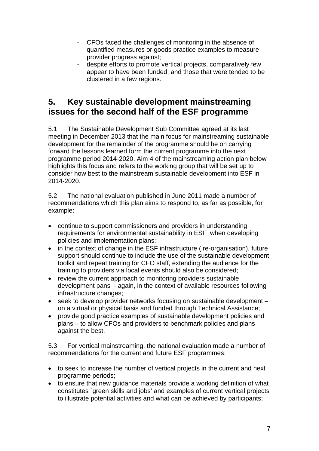- CFOs faced the challenges of monitoring in the absence of quantified measures or goods practice examples to measure provider progress against;
- despite efforts to promote vertical projects, comparatively few appear to have been funded, and those that were tended to be clustered in a few regions.

#### **5. Key sustainable development mainstreaming issues for the second half of the ESF programme**

5.1 The Sustainable Development Sub Committee agreed at its last meeting in December 2013 that the main focus for mainstreaming sustainable development for the remainder of the programme should be on carrying forward the lessons learned form the current programme into the next programme period 2014-2020. Aim 4 of the mainstreaming action plan below highlights this focus and refers to the working group that will be set up to consider how best to the mainstream sustainable development into ESF in 2014-2020.

5.2 The national evaluation published in June 2011 made a number of recommendations which this plan aims to respond to, as far as possible, for example:

- continue to support commissioners and providers in understanding requirements for environmental sustainability in ESF when developing policies and implementation plans;
- in the context of change in the ESF infrastructure ( re-organisation), future support should continue to include the use of the sustainable development toolkit and repeat training for CFO staff, extending the audience for the training to providers via local events should also be considered;
- review the current approach to monitoring providers sustainable development pans - again, in the context of available resources following infrastructure changes;
- seek to develop provider networks focusing on sustainable development on a virtual or physical basis and funded through Technical Assistance;
- provide good practice examples of sustainable development policies and plans – to allow CFOs and providers to benchmark policies and plans against the best.

5.3 For vertical mainstreaming, the national evaluation made a number of recommendations for the current and future ESF programmes:

- to seek to increase the number of vertical projects in the current and next programme periods;
- to ensure that new guidance materials provide a working definition of what constitutes `green skills and jobs' and examples of current vertical projects to illustrate potential activities and what can be achieved by participants;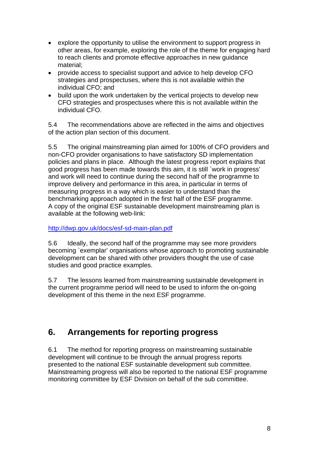- explore the opportunity to utilise the environment to support progress in other areas, for example, exploring the role of the theme for engaging hard to reach clients and promote effective approaches in new guidance material;
- provide access to specialist support and advice to help develop CFO strategies and prospectuses, where this is not available within the individual CFO; and
- build upon the work undertaken by the vertical projects to develop new CFO strategies and prospectuses where this is not available within the individual CFO.

5.4 The recommendations above are reflected in the aims and objectives of the action plan section of this document.

5.5 The original mainstreaming plan aimed for 100% of CFO providers and non-CFO provider organisations to have satisfactory SD implementation policies and plans in place. Although the latest progress report explains that good progress has been made towards this aim, it is still `work in progress' and work will need to continue during the second half of the programme to improve delivery and performance in this area, in particular in terms of measuring progress in a way which is easier to understand than the benchmarking approach adopted in the first half of the ESF programme. A copy of the original ESF sustainable development mainstreaming plan is available at the following web-link:

<http://dwp.gov.uk/docs/esf-sd-main-plan.pdf>

5.6 Ideally, the second half of the programme may see more providers becoming `exemplar' organisations whose approach to promoting sustainable development can be shared with other providers thought the use of case studies and good practice examples.

5.7 The lessons learned from mainstreaming sustainable development in the current programme period will need to be used to inform the on-going development of this theme in the next ESF programme.

### **6. Arrangements for reporting progress**

6.1 The method for reporting progress on mainstreaming sustainable development will continue to be through the annual progress reports presented to the national ESF sustainable development sub committee. Mainstreaming progress will also be reported to the national ESF programme monitoring committee by ESF Division on behalf of the sub committee.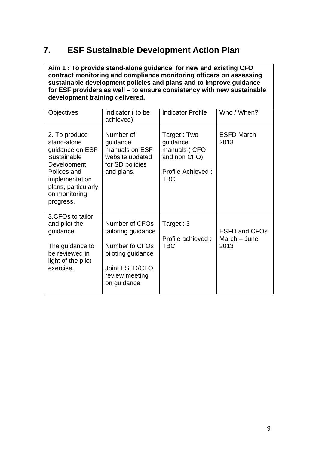## **7. ESF Sustainable Development Action Plan**

**Aim 1 : To provide stand-alone guidance for new and existing CFO contract monitoring and compliance monitoring officers on assessing sustainable development policies and plans and to improve guidance for ESF providers as well – to ensure consistency with new sustainable development training delivered.** 

| <b>Objectives</b>                                                                                                                                                   | Indicator (to be<br>achieved)                                                                                                  | <b>Indicator Profile</b>                                                                          | Who / When?                                  |
|---------------------------------------------------------------------------------------------------------------------------------------------------------------------|--------------------------------------------------------------------------------------------------------------------------------|---------------------------------------------------------------------------------------------------|----------------------------------------------|
| 2. To produce<br>stand-alone<br>guidance on ESF<br>Sustainable<br>Development<br>Polices and<br>implementation<br>plans, particularly<br>on monitoring<br>progress. | Number of<br>guidance<br>manuals on ESF<br>website updated<br>for SD policies<br>and plans.                                    | Target: Two<br>guidance<br>manuals (CFO<br>and non CFO)<br><b>Profile Achieved:</b><br><b>TBC</b> | <b>ESFD March</b><br>2013                    |
| 3.CFOs to tailor<br>and pilot the<br>guidance.<br>The guidance to<br>be reviewed in<br>light of the pilot<br>exercise.                                              | Number of CFOs<br>tailoring guidance<br>Number fo CFOs<br>piloting guidance<br>Joint ESFD/CFO<br>review meeting<br>on guidance | Target: $3$<br>Profile achieved :<br><b>TBC</b>                                                   | <b>ESFD and CFOs</b><br>March - June<br>2013 |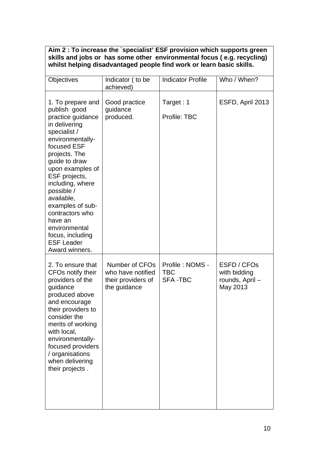| Aim 2 : To increase the `specialist' ESF provision which supports green |  |  |  |  |
|-------------------------------------------------------------------------|--|--|--|--|
| skills and jobs or has some other environmental focus (e.g. recycling)  |  |  |  |  |
| whilst helping disadvantaged people find work or learn basic skills.    |  |  |  |  |

| Objectives                                                                                                                                                                                                                                                                                                                                                                      | Indicator (to be<br>achieved)                                             | <b>Indicator Profile</b>                        | Who / When?                                               |
|---------------------------------------------------------------------------------------------------------------------------------------------------------------------------------------------------------------------------------------------------------------------------------------------------------------------------------------------------------------------------------|---------------------------------------------------------------------------|-------------------------------------------------|-----------------------------------------------------------|
| 1. To prepare and<br>publish good<br>practice guidance<br>in delivering<br>specialist /<br>environmentally-<br>focused ESF<br>projects. The<br>guide to draw<br>upon examples of<br>ESF projects,<br>including, where<br>possible /<br>available,<br>examples of sub-<br>contractors who<br>have an<br>environmental<br>focus, including<br><b>ESF Leader</b><br>Award winners. | Good practice<br>guidance<br>produced.                                    | Target: 1<br>Profile: TBC                       | ESFD, April 2013                                          |
| 2. To ensure that<br>CFOs notify their<br>providers of the<br>guidance<br>produced above<br>and encourage<br>their providers to<br>consider the<br>merits of working<br>with local,<br>environmentally-<br>focused providers<br>/ organisations<br>when delivering<br>their projects.                                                                                           | Number of CFOs<br>who have notified<br>their providers of<br>the guidance | Profile: NOMS -<br><b>TBC</b><br><b>SFA-TBC</b> | ESFD / CFOs<br>with bidding<br>rounds, April-<br>May 2013 |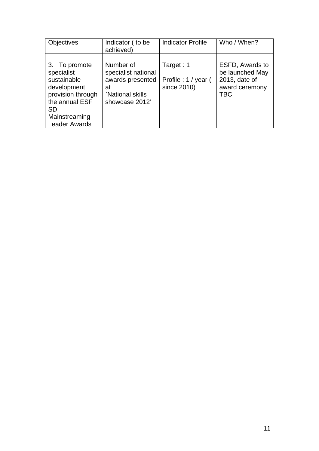| <b>Objectives</b>                                                                                                                                      | Indicator (to be<br>achieved)                                                                   | <b>Indicator Profile</b>                        | Who / When?                                                                         |
|--------------------------------------------------------------------------------------------------------------------------------------------------------|-------------------------------------------------------------------------------------------------|-------------------------------------------------|-------------------------------------------------------------------------------------|
| 3. To promote<br>specialist<br>sustainable<br>development<br>provision through<br>the annual ESF<br><b>SD</b><br>Mainstreaming<br><b>Leader Awards</b> | Number of<br>specialist national<br>awards presented<br>at<br>National skills<br>showcase 2012' | Target: 1<br>Profile: 1 / year (<br>since 2010) | ESFD, Awards to<br>be launched May<br>2013, date of<br>award ceremony<br><b>TBC</b> |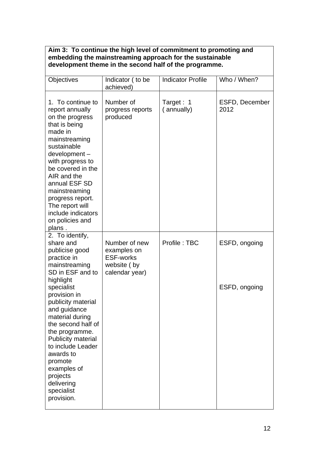#### **Aim 3: To continue the high level of commitment to promoting and embedding the mainstreaming approach for the sustainable development theme in the second half of the programme.**

| <b>Objectives</b>                                                                                                                                                                                                                                                                                                                                                                      | Indicator (to be<br>achieved)                                                     | <b>Indicator Profile</b> | Who / When?                    |
|----------------------------------------------------------------------------------------------------------------------------------------------------------------------------------------------------------------------------------------------------------------------------------------------------------------------------------------------------------------------------------------|-----------------------------------------------------------------------------------|--------------------------|--------------------------------|
| 1. To continue to<br>report annually<br>on the progress<br>that is being<br>made in<br>mainstreaming<br>sustainable<br>development-<br>with progress to<br>be covered in the<br>AIR and the<br>annual ESF SD<br>mainstreaming<br>progress report.<br>The report will<br>include indicators<br>on policies and<br>plans.                                                                | Number of<br>progress reports<br>produced                                         | Target: 1<br>(annually)  | ESFD, December<br>2012         |
| 2. To identify,<br>share and<br>publicise good<br>practice in<br>mainstreaming<br>SD in ESF and to<br>highlight<br>specialist<br>provision in<br>publicity material<br>and guidance<br>material during<br>the second half of<br>the programme.<br>Publicity material<br>to include Leader<br>awards to<br>promote<br>examples of<br>projects<br>delivering<br>specialist<br>provision. | Number of new<br>examples on<br><b>ESF-works</b><br>website (by<br>calendar year) | Profile: TBC             | ESFD, ongoing<br>ESFD, ongoing |